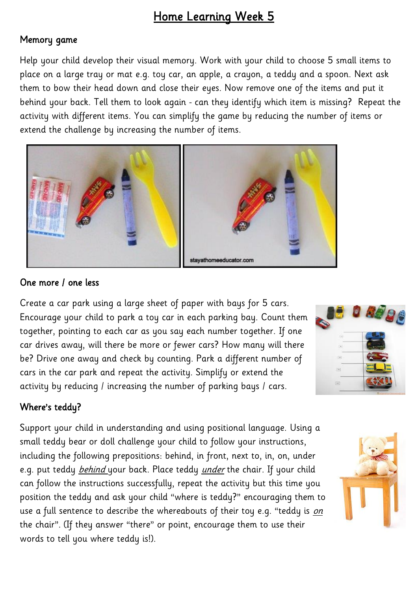# Home Learning Week 5

## Memory game

Help your child develop their visual memory. Work with your child to choose 5 small items to place on a large tray or mat e.g. toy car, an apple, a crayon, a teddy and a spoon. Next ask them to bow their head down and close their eyes. Now remove one of the items and put it behind your back. Tell them to look again - can they identify which item is missing? Repeat the activity with different items. You can simplify the game by reducing the number of items or extend the challenge by increasing the number of items.



#### One more / one less

Create a car park using a large sheet of paper with bays for 5 cars. Encourage your child to park a toy car in each parking bay. Count them together, pointing to each car as you say each number together. If one car drives away, will there be more or fewer cars? How many will there be? Drive one away and check by counting. Park a different number of cars in the car park and repeat the activity. Simplify or extend the activity by reducing / increasing the number of parking bays / cars.



## Where's teddy?

Support your child in understanding and using positional language. Using a small teddy bear or doll challenge your child to follow your instructions, including the following prepositions: behind, in front, next to, in, on, under e.g. put teddy *behind* your back. Place teddy *under* the chair. If your child can follow the instructions successfully, repeat the activity but this time you position the teddy and ask your child "where is teddy?" encouraging them to use a full sentence to describe the whereabouts of their toy e.g. "teddy is on the chair". (If they answer "there" or point, encourage them to use their words to tell you where teddy is!).